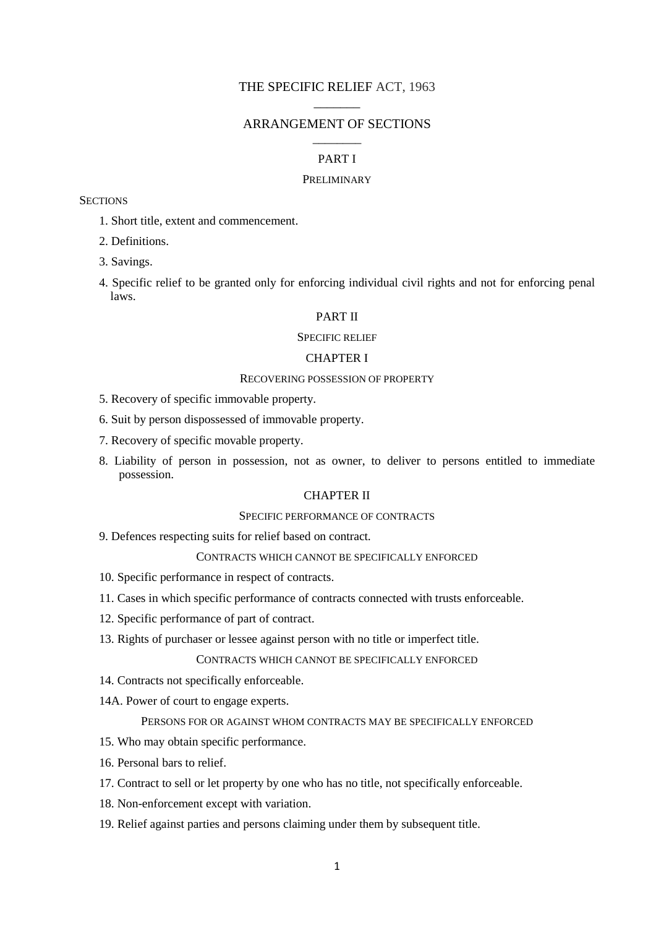## THE SPECIFIC RELIEF ACT, 1963  $\overline{\phantom{a}}$

## ARRANGEMENT OF SECTIONS \_\_\_\_\_\_\_\_

## PART I

### **PRELIMINARY**

### **SECTIONS**

- 1. Short title, extent and commencement.
- 2. Definitions.
- 3. Savings.
- 4. Specific relief to be granted only for enforcing individual civil rights and not for enforcing penal laws.

### PART II

#### SPECIFIC RELIEF

### CHAPTER I

#### RECOVERING POSSESSION OF PROPERTY

- 5. Recovery of specific immovable property.
- 6. Suit by person dispossessed of immovable property.
- 7. Recovery of specific movable property.
- 8. Liability of person in possession, not as owner, to deliver to persons entitled to immediate possession.

## CHAPTER II

#### SPECIFIC PERFORMANCE OF CONTRACTS

9. Defences respecting suits for relief based on contract.

#### CONTRACTS WHICH CANNOT BE SPECIFICALLY ENFORCED

- 10. Specific performance in respect of contracts.
- 11. Cases in which specific performance of contracts connected with trusts enforceable.
- 12. Specific performance of part of contract.
- 13. Rights of purchaser or lessee against person with no title or imperfect title.

### CONTRACTS WHICH CANNOT BE SPECIFICALLY ENFORCED

- 14. Contracts not specifically enforceable.
- 14A. Power of court to engage experts.

## PERSONS FOR OR AGAINST WHOM CONTRACTS MAY BE SPECIFICALLY ENFORCED

- 15. Who may obtain specific performance.
- 16. Personal bars to relief.
- 17. Contract to sell or let property by one who has no title, not specifically enforceable.
- 18. Non-enforcement except with variation.
- 19. Relief against parties and persons claiming under them by subsequent title.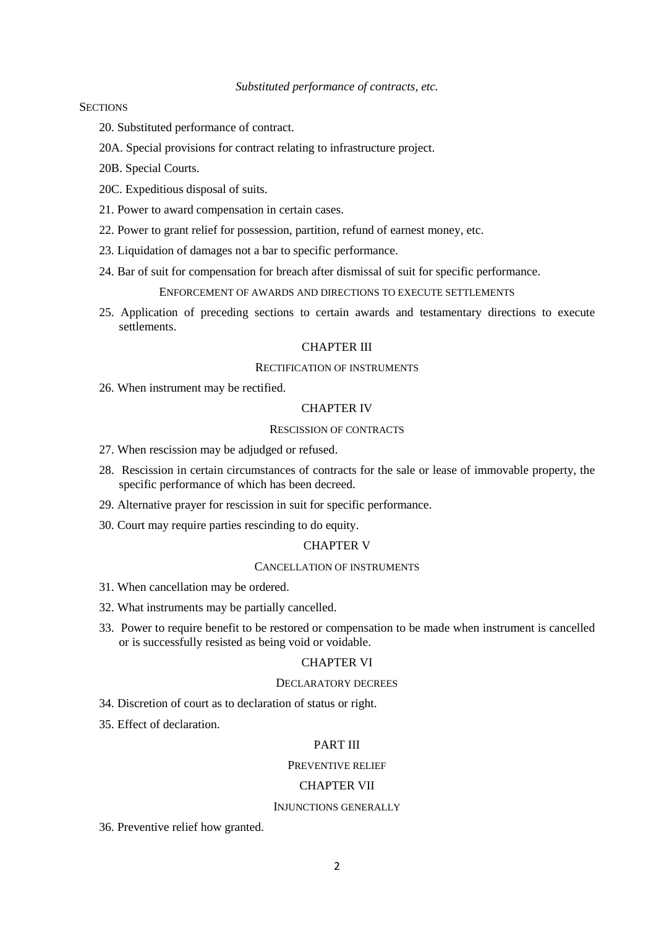### **SECTIONS**

- 20. Substituted performance of contract.
- 20A. Special provisions for contract relating to infrastructure project.
- 20B. Special Courts.
- 20C. Expeditious disposal of suits.
- 21. Power to award compensation in certain cases.
- 22. Power to grant relief for possession, partition, refund of earnest money, etc.
- 23. Liquidation of damages not a bar to specific performance.
- 24. Bar of suit for compensation for breach after dismissal of suit for specific performance.

ENFORCEMENT OF AWARDS AND DIRECTIONS TO EXECUTE SETTLEMENTS

25. Application of preceding sections to certain awards and testamentary directions to execute settlements.

### CHAPTER III

### RECTIFICATION OF INSTRUMENTS

26. When instrument may be rectified.

#### CHAPTER IV

### RESCISSION OF CONTRACTS

- 27. When rescission may be adjudged or refused.
- 28. Rescission in certain circumstances of contracts for the sale or lease of immovable property, the specific performance of which has been decreed.
- 29. Alternative prayer for rescission in suit for specific performance.
- 30. Court may require parties rescinding to do equity.

### CHAPTER V

#### CANCELLATION OF INSTRUMENTS

- 31. When cancellation may be ordered.
- 32. What instruments may be partially cancelled.
- 33. Power to require benefit to be restored or compensation to be made when instrument is cancelled or is successfully resisted as being void or voidable.

### CHAPTER VI

### DECLARATORY DECREES

- 34. Discretion of court as to declaration of status or right.
- 35. Effect of declaration.

### PART III

### PREVENTIVE RELIEF

#### CHAPTER VII

#### INJUNCTIONS GENERALLY

36. Preventive relief how granted.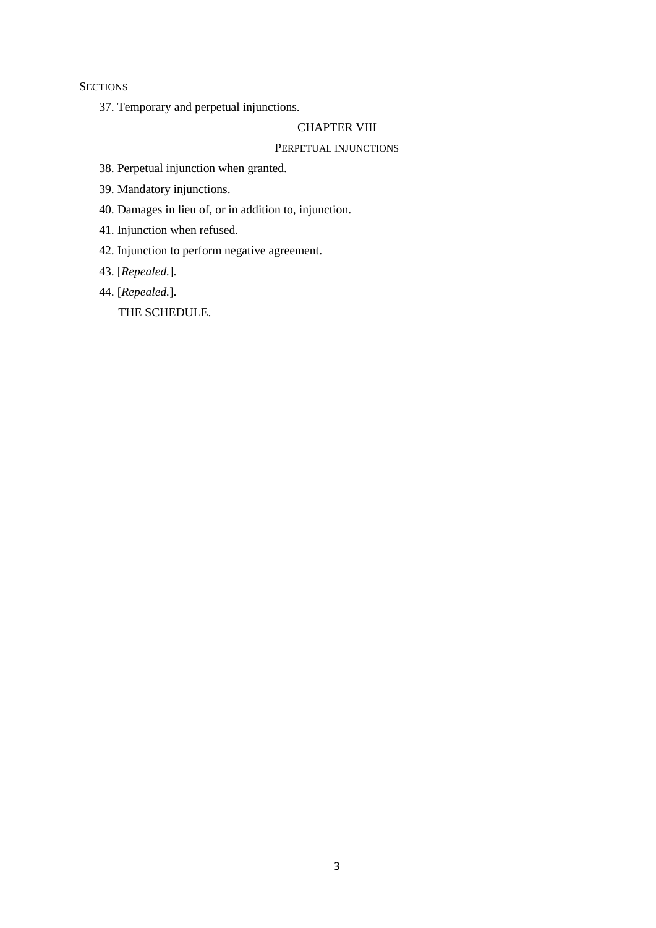**SECTIONS** 

37. Temporary and perpetual injunctions.

## CHAPTER VIII

## PERPETUAL INJUNCTIONS

- 38. Perpetual injunction when granted.
- 39. Mandatory injunctions.
- 40. Damages in lieu of, or in addition to, injunction.
- 41. Injunction when refused.
- 42. Injunction to perform negative agreement.
- 43. [*Repealed.*].
- 44. [*Repealed.*].

THE SCHEDULE.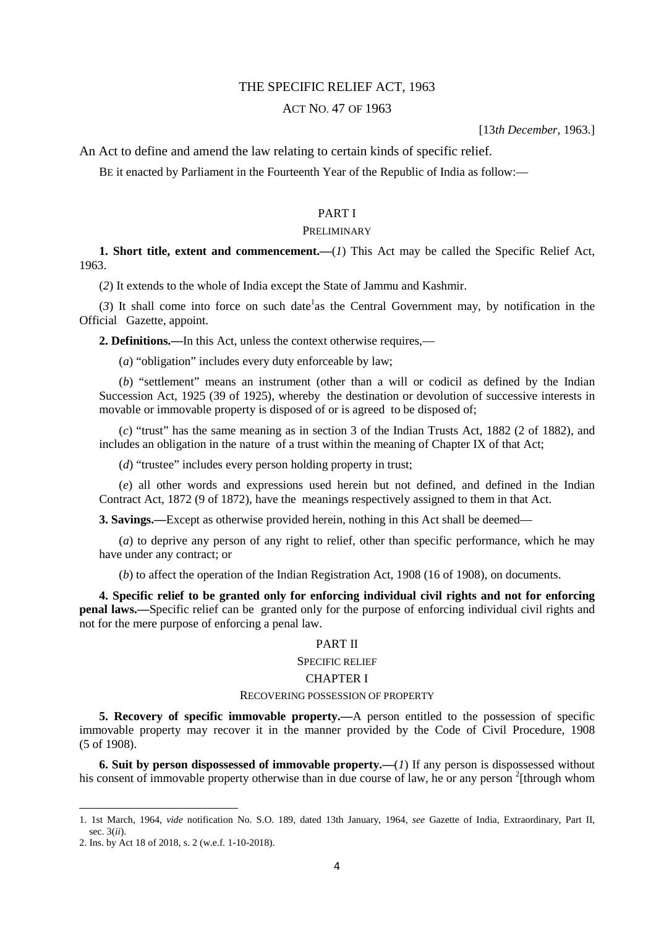### THE SPECIFIC RELIEF ACT, 1963

### ACT NO. 47 OF 1963

[13*th December,* 1963.]

An Act to define and amend the law relating to certain kinds of specific relief.

BE it enacted by Parliament in the Fourteenth Year of the Republic of India as follow:—

### PART I

### PRELIMINARY

**1. Short title, extent and commencement.—**(*1*) This Act may be called the Specific Relief Act, 1963.

(*2*) It extends to the whole of India except the State of Jammu and Kashmir.

 $(3)$  It shall come into force on such date<sup>1</sup> as the Central Government may, by notification in the Official Gazette, appoint.

**2. Definitions.—**In this Act, unless the context otherwise requires,—

(*a*) "obligation" includes every duty enforceable by law;

(*b*) "settlement" means an instrument (other than a will or codicil as defined by the Indian Succession Act, 1925 (39 of 1925), whereby the destination or devolution of successive interests in movable or immovable property is disposed of or is agreed to be disposed of;

(*c*) "trust" has the same meaning as in section 3 of the Indian Trusts Act, 1882 (2 of 1882), and includes an obligation in the nature of a trust within the meaning of Chapter IX of that Act;

(*d*) "trustee" includes every person holding property in trust;

(*e*) all other words and expressions used herein but not defined, and defined in the Indian Contract Act, 1872 (9 of 1872), have the meanings respectively assigned to them in that Act.

**3. Savings.**—Except as otherwise provided herein, nothing in this Act shall be deemed—

(*a*) to deprive any person of any right to relief, other than specific performance, which he may have under any contract; or

(*b*) to affect the operation of the Indian Registration Act, 1908 (16 of 1908), on documents.

**4. Specific relief to be granted only for enforcing individual civil rights and not for enforcing penal laws.—**Specific relief can be granted only for the purpose of enforcing individual civil rights and not for the mere purpose of enforcing a penal law.

### PART II

#### SPECIFIC RELIEF

### CHAPTER I

#### RECOVERING POSSESSION OF PROPERTY

**5. Recovery of specific immovable property.—**A person entitled to the possession of specific immovable property may recover it in the manner provided by the Code of Civil Procedure, 1908 (5 of 1908).

**6. Suit by person dispossessed of immovable property.—**(*1*) If any person is dispossessed without his consent of immovable property otherwise than in due course of law, he or any person <sup>2</sup>[through whom

<sup>1. 1</sup>st March, 1964, *vide* notification No. S.O. 189, dated 13th January, 1964, *see* Gazette of India, Extraordinary, Part II, sec. 3(*ii*).

<sup>2.</sup> Ins. by Act 18 of 2018, s. 2 (w.e.f. 1-10-2018).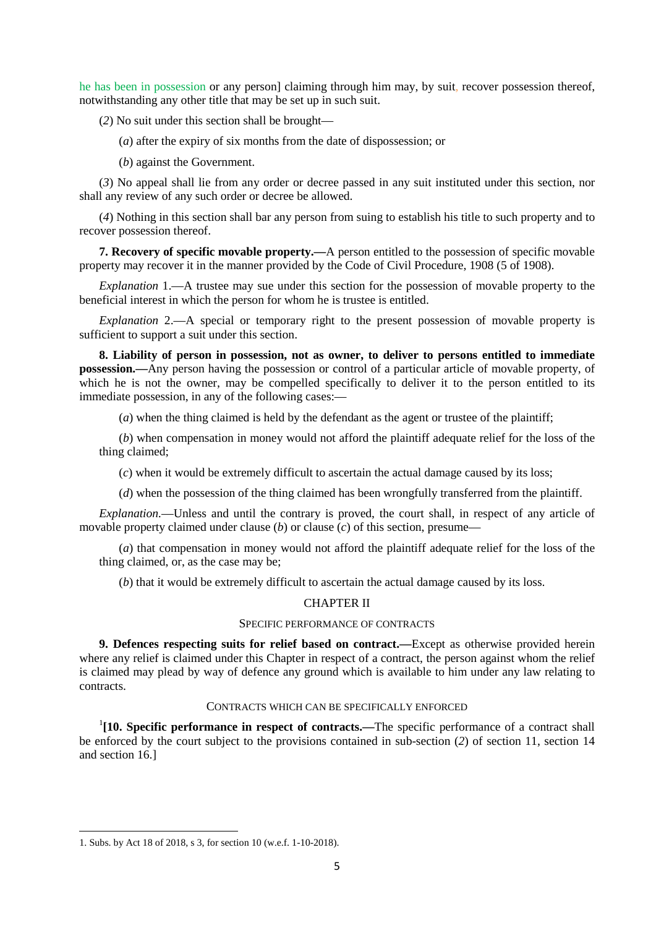he has been in possession or any person] claiming through him may, by suit, recover possession thereof, notwithstanding any other title that may be set up in such suit.

(*2*) No suit under this section shall be brought—

(*a*) after the expiry of six months from the date of dispossession; or

(*b*) against the Government.

(*3*) No appeal shall lie from any order or decree passed in any suit instituted under this section, nor shall any review of any such order or decree be allowed.

(*4*) Nothing in this section shall bar any person from suing to establish his title to such property and to recover possession thereof.

**7. Recovery of specific movable property.—**A person entitled to the possession of specific movable property may recover it in the manner provided by the Code of Civil Procedure, 1908 (5 of 1908).

*Explanation* 1.—A trustee may sue under this section for the possession of movable property to the beneficial interest in which the person for whom he is trustee is entitled.

*Explanation* 2.—A special or temporary right to the present possession of movable property is sufficient to support a suit under this section.

**8. Liability of person in possession, not as owner, to deliver to persons entitled to immediate possession.—**Any person having the possession or control of a particular article of movable property, of which he is not the owner, may be compelled specifically to deliver it to the person entitled to its immediate possession, in any of the following cases:—

(*a*) when the thing claimed is held by the defendant as the agent or trustee of the plaintiff;

(*b*) when compensation in money would not afford the plaintiff adequate relief for the loss of the thing claimed;

(*c*) when it would be extremely difficult to ascertain the actual damage caused by its loss;

(*d*) when the possession of the thing claimed has been wrongfully transferred from the plaintiff.

*Explanation.*—Unless and until the contrary is proved, the court shall, in respect of any article of movable property claimed under clause (*b*) or clause (*c*) of this section, presume—

(*a*) that compensation in money would not afford the plaintiff adequate relief for the loss of the thing claimed, or, as the case may be;

(*b*) that it would be extremely difficult to ascertain the actual damage caused by its loss.

### CHAPTER II

### SPECIFIC PERFORMANCE OF CONTRACTS

**9. Defences respecting suits for relief based on contract.—**Except as otherwise provided herein where any relief is claimed under this Chapter in respect of a contract, the person against whom the relief is claimed may plead by way of defence any ground which is available to him under any law relating to contracts.

### CONTRACTS WHICH CAN BE SPECIFICALLY ENFORCED

<sup>1</sup>[10. Specific performance in respect of contracts.—The specific performance of a contract shall be enforced by the court subject to the provisions contained in sub-section (*2*) of section 11, section 14 and section 16.]

<sup>1.</sup> Subs. by Act 18 of 2018, s 3, for section 10 (w.e.f. 1-10-2018).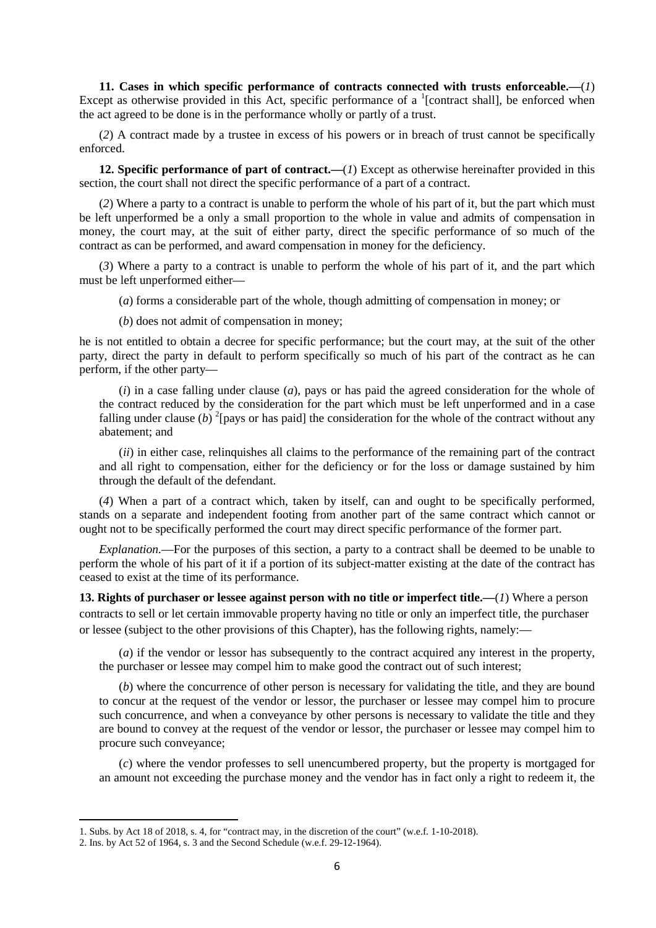**11. Cases in which specific performance of contracts connected with trusts enforceable.—**(*1*) Except as otherwise provided in this Act, specific performance of a  $^1$ [contract shall], be enforced when the act agreed to be done is in the performance wholly or partly of a trust.

(*2*) A contract made by a trustee in excess of his powers or in breach of trust cannot be specifically enforced.

**12. Specific performance of part of contract.—**(*1*) Except as otherwise hereinafter provided in this section, the court shall not direct the specific performance of a part of a contract.

(*2*) Where a party to a contract is unable to perform the whole of his part of it, but the part which must be left unperformed be a only a small proportion to the whole in value and admits of compensation in money, the court may, at the suit of either party, direct the specific performance of so much of the contract as can be performed, and award compensation in money for the deficiency.

(*3*) Where a party to a contract is unable to perform the whole of his part of it, and the part which must be left unperformed either—

(*a*) forms a considerable part of the whole, though admitting of compensation in money; or

(*b*) does not admit of compensation in money;

he is not entitled to obtain a decree for specific performance; but the court may, at the suit of the other party, direct the party in default to perform specifically so much of his part of the contract as he can perform, if the other party—

(*i*) in a case falling under clause (*a*), pays or has paid the agreed consideration for the whole of the contract reduced by the consideration for the part which must be left unperformed and in a case falling under clause  $(b)$  <sup>2</sup>[pays or has paid] the consideration for the whole of the contract without any abatement; and

(*ii*) in either case, relinquishes all claims to the performance of the remaining part of the contract and all right to compensation, either for the deficiency or for the loss or damage sustained by him through the default of the defendant.

(*4*) When a part of a contract which, taken by itself, can and ought to be specifically performed, stands on a separate and independent footing from another part of the same contract which cannot or ought not to be specifically performed the court may direct specific performance of the former part.

*Explanation.*—For the purposes of this section, a party to a contract shall be deemed to be unable to perform the whole of his part of it if a portion of its subject-matter existing at the date of the contract has ceased to exist at the time of its performance.

**13. Rights of purchaser or lessee against person with no title or imperfect title.—**(*1*) Where a person contracts to sell or let certain immovable property having no title or only an imperfect title, the purchaser or lessee (subject to the other provisions of this Chapter), has the following rights, namely:—

(*a*) if the vendor or lessor has subsequently to the contract acquired any interest in the property, the purchaser or lessee may compel him to make good the contract out of such interest;

(*b*) where the concurrence of other person is necessary for validating the title, and they are bound to concur at the request of the vendor or lessor, the purchaser or lessee may compel him to procure such concurrence, and when a conveyance by other persons is necessary to validate the title and they are bound to convey at the request of the vendor or lessor, the purchaser or lessee may compel him to procure such conveyance;

(*c*) where the vendor professes to sell unencumbered property, but the property is mortgaged for an amount not exceeding the purchase money and the vendor has in fact only a right to redeem it, the

<sup>1.</sup> Subs. by Act 18 of 2018, s. 4, for "contract may, in the discretion of the court" (w.e.f. 1-10-2018).

<sup>2.</sup> Ins. by Act 52 of 1964, s. 3 and the Second Schedule (w.e.f. 29-12-1964).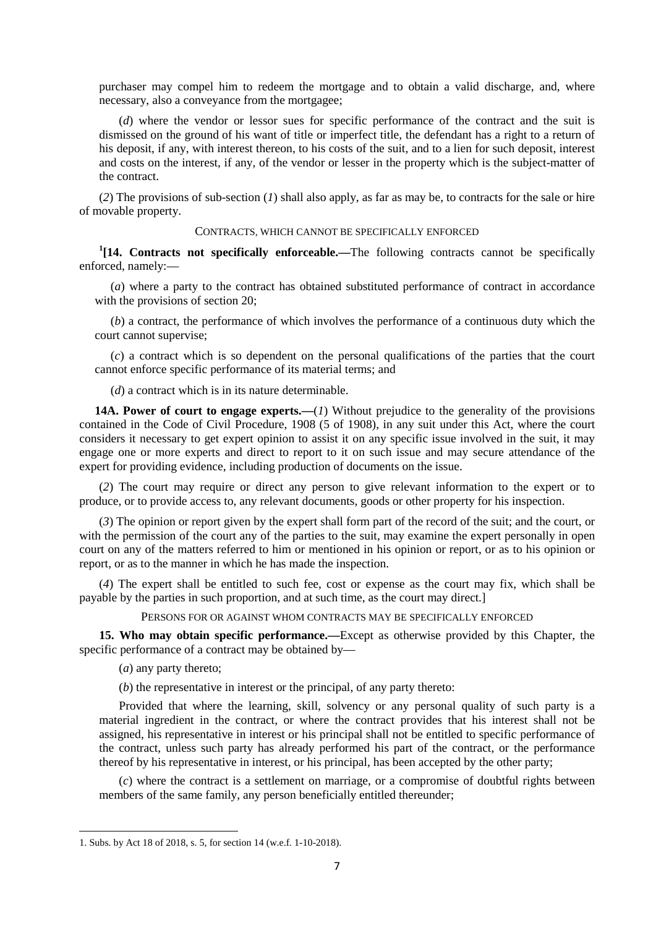purchaser may compel him to redeem the mortgage and to obtain a valid discharge, and, where necessary, also a conveyance from the mortgagee;

(*d*) where the vendor or lessor sues for specific performance of the contract and the suit is dismissed on the ground of his want of title or imperfect title, the defendant has a right to a return of his deposit, if any, with interest thereon, to his costs of the suit, and to a lien for such deposit, interest and costs on the interest, if any, of the vendor or lesser in the property which is the subject-matter of the contract.

(*2*) The provisions of sub-section (*1*) shall also apply, as far as may be, to contracts for the sale or hire of movable property.

### CONTRACTS, WHICH CANNOT BE SPECIFICALLY ENFORCED

<sup>1</sup>[14. Contracts not specifically enforceable.—The following contracts cannot be specifically enforced, namely:—

(*a*) where a party to the contract has obtained substituted performance of contract in accordance with the provisions of section 20;

(*b*) a contract, the performance of which involves the performance of a continuous duty which the court cannot supervise;

(*c*) a contract which is so dependent on the personal qualifications of the parties that the court cannot enforce specific performance of its material terms; and

(*d*) a contract which is in its nature determinable.

**14A. Power of court to engage experts.—**(*1*) Without prejudice to the generality of the provisions contained in the Code of Civil Procedure, 1908 (5 of 1908), in any suit under this Act, where the court considers it necessary to get expert opinion to assist it on any specific issue involved in the suit, it may engage one or more experts and direct to report to it on such issue and may secure attendance of the expert for providing evidence, including production of documents on the issue.

(*2*) The court may require or direct any person to give relevant information to the expert or to produce, or to provide access to, any relevant documents, goods or other property for his inspection.

(*3*) The opinion or report given by the expert shall form part of the record of the suit; and the court, or with the permission of the court any of the parties to the suit, may examine the expert personally in open court on any of the matters referred to him or mentioned in his opinion or report, or as to his opinion or report, or as to the manner in which he has made the inspection.

(*4*) The expert shall be entitled to such fee, cost or expense as the court may fix, which shall be payable by the parties in such proportion, and at such time, as the court may direct.]

### PERSONS FOR OR AGAINST WHOM CONTRACTS MAY BE SPECIFICALLY ENFORCED

**15. Who may obtain specific performance.—**Except as otherwise provided by this Chapter, the specific performance of a contract may be obtained by—

(*a*) any party thereto;

(*b*) the representative in interest or the principal, of any party thereto:

Provided that where the learning, skill, solvency or any personal quality of such party is a material ingredient in the contract, or where the contract provides that his interest shall not be assigned, his representative in interest or his principal shall not be entitled to specific performance of the contract, unless such party has already performed his part of the contract, or the performance thereof by his representative in interest, or his principal, has been accepted by the other party;

(*c*) where the contract is a settlement on marriage, or a compromise of doubtful rights between members of the same family, any person beneficially entitled thereunder;

<sup>1.</sup> Subs. by Act 18 of 2018, s. 5, for section 14 (w.e.f. 1-10-2018).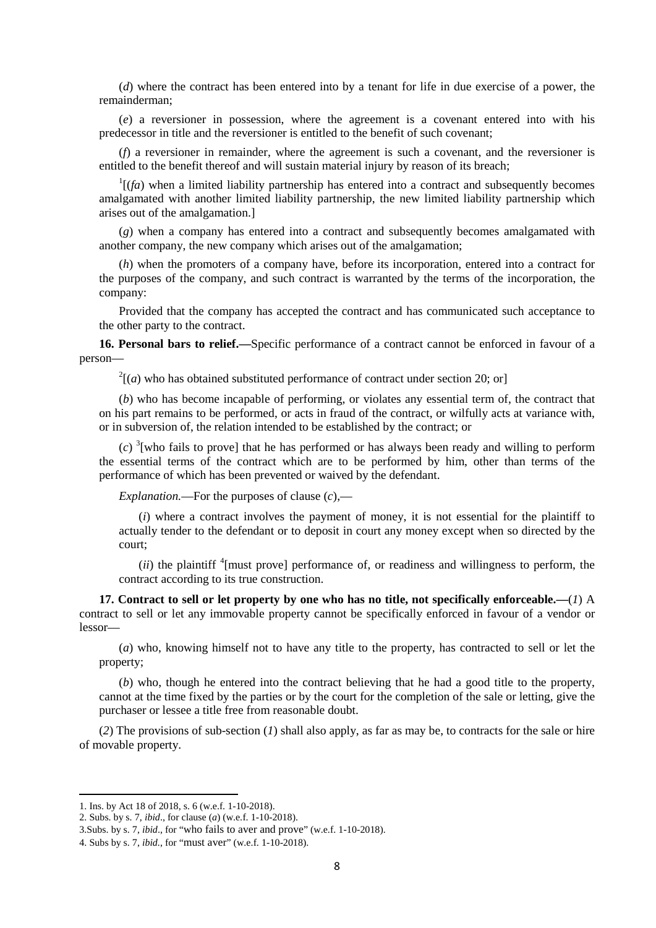(*d*) where the contract has been entered into by a tenant for life in due exercise of a power, the remainderman;

(*e*) a reversioner in possession, where the agreement is a covenant entered into with his predecessor in title and the reversioner is entitled to the benefit of such covenant;

(*f*) a reversioner in remainder, where the agreement is such a covenant, and the reversioner is entitled to the benefit thereof and will sustain material injury by reason of its breach;

 $\frac{1}{f}$  (*fa*) when a limited liability partnership has entered into a contract and subsequently becomes amalgamated with another limited liability partnership, the new limited liability partnership which arises out of the amalgamation.]

(*g*) when a company has entered into a contract and subsequently becomes amalgamated with another company, the new company which arises out of the amalgamation;

(*h*) when the promoters of a company have, before its incorporation, entered into a contract for the purposes of the company, and such contract is warranted by the terms of the incorporation, the company:

Provided that the company has accepted the contract and has communicated such acceptance to the other party to the contract.

**16. Personal bars to relief.—**Specific performance of a contract cannot be enforced in favour of a person—

 $2^2$ [(*a*) who has obtained substituted performance of contract under section 20; or]

(*b*) who has become incapable of performing, or violates any essential term of, the contract that on his part remains to be performed, or acts in fraud of the contract, or wilfully acts at variance with, or in subversion of, the relation intended to be established by the contract; or

 $(c)$ <sup>3</sup>[who fails to prove] that he has performed or has always been ready and willing to perform the essential terms of the contract which are to be performed by him, other than terms of the performance of which has been prevented or waived by the defendant.

*Explanation.*—For the purposes of clause (*c*),—

(*i*) where a contract involves the payment of money, it is not essential for the plaintiff to actually tender to the defendant or to deposit in court any money except when so directed by the court;

 $(iii)$  the plaintiff  $\frac{4}{3}$  [must prove] performance of, or readiness and willingness to perform, the contract according to its true construction.

**17. Contract to sell or let property by one who has no title, not specifically enforceable.—**(*1*) A contract to sell or let any immovable property cannot be specifically enforced in favour of a vendor or lessor—

(*a*) who, knowing himself not to have any title to the property, has contracted to sell or let the property;

(*b*) who, though he entered into the contract believing that he had a good title to the property, cannot at the time fixed by the parties or by the court for the completion of the sale or letting, give the purchaser or lessee a title free from reasonable doubt.

(*2*) The provisions of sub-section (*1*) shall also apply, as far as may be, to contracts for the sale or hire of movable property.

<sup>1.</sup> Ins. by Act 18 of 2018, s. 6 (w.e.f. 1-10-2018).

<sup>2.</sup> Subs. by s. 7, *ibid*., for clause (*a*) (w.e.f. 1-10-2018).

<sup>3.</sup>Subs. by s. 7, *ibid*., for "who fails to aver and prove" (w.e.f. 1-10-2018).

<sup>4.</sup> Subs by s. 7, *ibid.*, for "must aver" (w.e.f. 1-10-2018).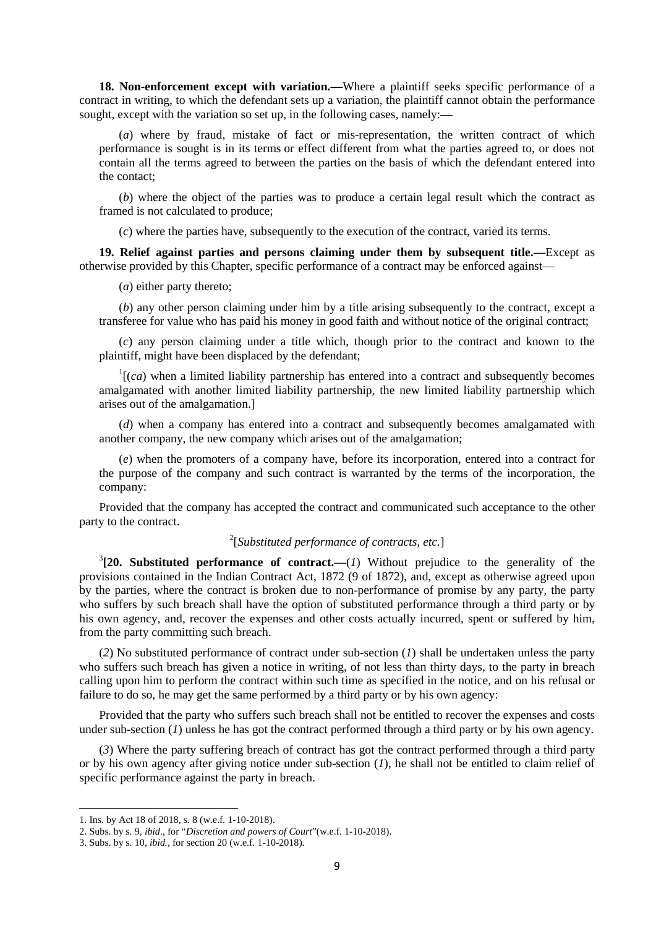**18. Non-enforcement except with variation.—Where a plaintiff seeks specific performance of a** contract in writing, to which the defendant sets up a variation, the plaintiff cannot obtain the performance sought, except with the variation so set up, in the following cases, namely:—

(*a*) where by fraud, mistake of fact or mis-representation, the written contract of which performance is sought is in its terms or effect different from what the parties agreed to, or does not contain all the terms agreed to between the parties on the basis of which the defendant entered into the contact;

(*b*) where the object of the parties was to produce a certain legal result which the contract as framed is not calculated to produce;

(*c*) where the parties have, subsequently to the execution of the contract, varied its terms.

**19. Relief against parties and persons claiming under them by subsequent title.—**Except as otherwise provided by this Chapter, specific performance of a contract may be enforced against—

(*a*) either party thereto;

(*b*) any other person claiming under him by a title arising subsequently to the contract, except a transferee for value who has paid his money in good faith and without notice of the original contract;

(*c*) any person claiming under a title which, though prior to the contract and known to the plaintiff, might have been displaced by the defendant;

 $<sup>1</sup>$ [(*ca*) when a limited liability partnership has entered into a contract and subsequently becomes</sup> amalgamated with another limited liability partnership, the new limited liability partnership which arises out of the amalgamation.]

(*d*) when a company has entered into a contract and subsequently becomes amalgamated with another company, the new company which arises out of the amalgamation;

(*e*) when the promoters of a company have, before its incorporation, entered into a contract for the purpose of the company and such contract is warranted by the terms of the incorporation, the company:

Provided that the company has accepted the contract and communicated such acceptance to the other party to the contract.

## 2 [*Substituted performance of contracts, etc.*]

 $3$ [20. Substituted performance of contract.— $(I)$  Without prejudice to the generality of the provisions contained in the Indian Contract Act, 1872 (9 of 1872), and, except as otherwise agreed upon by the parties, where the contract is broken due to non-performance of promise by any party, the party who suffers by such breach shall have the option of substituted performance through a third party or by his own agency, and, recover the expenses and other costs actually incurred, spent or suffered by him, from the party committing such breach.

(*2*) No substituted performance of contract under sub-section (*1*) shall be undertaken unless the party who suffers such breach has given a notice in writing, of not less than thirty days, to the party in breach calling upon him to perform the contract within such time as specified in the notice, and on his refusal or failure to do so, he may get the same performed by a third party or by his own agency:

Provided that the party who suffers such breach shall not be entitled to recover the expenses and costs under sub-section (*1*) unless he has got the contract performed through a third party or by his own agency.

(*3*) Where the party suffering breach of contract has got the contract performed through a third party or by his own agency after giving notice under sub-section (*1*), he shall not be entitled to claim relief of specific performance against the party in breach.

<sup>1.</sup> Ins. by Act 18 of 2018, s. 8 (w.e.f. 1-10-2018).

<sup>2.</sup> Subs. by s. 9, *ibid*., for "*Discretion and powers of Court*"(w.e.f. 1-10-2018).

<sup>3.</sup> Subs. by s. 10, *ibid.,* for section 20 (w.e.f. 1-10-2018).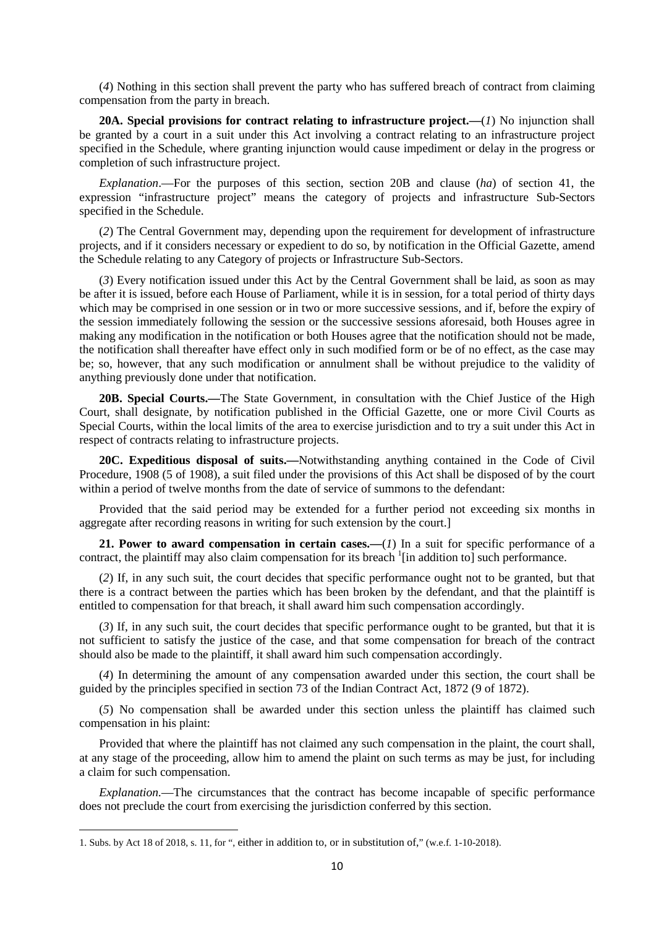(*4*) Nothing in this section shall prevent the party who has suffered breach of contract from claiming compensation from the party in breach.

**20A. Special provisions for contract relating to infrastructure project.—**(*1*) No injunction shall be granted by a court in a suit under this Act involving a contract relating to an infrastructure project specified in the Schedule, where granting injunction would cause impediment or delay in the progress or completion of such infrastructure project.

*Explanation*.—For the purposes of this section, section 20B and clause (*ha*) of section 41, the expression "infrastructure project" means the category of projects and infrastructure Sub-Sectors specified in the Schedule.

(*2*) The Central Government may, depending upon the requirement for development of infrastructure projects, and if it considers necessary or expedient to do so, by notification in the Official Gazette, amend the Schedule relating to any Category of projects or Infrastructure Sub-Sectors.

(*3*) Every notification issued under this Act by the Central Government shall be laid, as soon as may be after it is issued, before each House of Parliament, while it is in session, for a total period of thirty days which may be comprised in one session or in two or more successive sessions, and if, before the expiry of the session immediately following the session or the successive sessions aforesaid, both Houses agree in making any modification in the notification or both Houses agree that the notification should not be made, the notification shall thereafter have effect only in such modified form or be of no effect, as the case may be; so, however, that any such modification or annulment shall be without prejudice to the validity of anything previously done under that notification.

**20B. Special Courts.—**The State Government, in consultation with the Chief Justice of the High Court, shall designate, by notification published in the Official Gazette, one or more Civil Courts as Special Courts, within the local limits of the area to exercise jurisdiction and to try a suit under this Act in respect of contracts relating to infrastructure projects.

**20C. Expeditious disposal of suits.—**Notwithstanding anything contained in the Code of Civil Procedure, 1908 (5 of 1908), a suit filed under the provisions of this Act shall be disposed of by the court within a period of twelve months from the date of service of summons to the defendant:

Provided that the said period may be extended for a further period not exceeding six months in aggregate after recording reasons in writing for such extension by the court.]

**21. Power to award compensation in certain cases.—**(*1*) In a suit for specific performance of a contract, the plaintiff may also claim compensation for its breach  $\frac{1}{2}$  [in addition to] such performance.

(*2*) If, in any such suit, the court decides that specific performance ought not to be granted, but that there is a contract between the parties which has been broken by the defendant, and that the plaintiff is entitled to compensation for that breach, it shall award him such compensation accordingly.

(*3*) If, in any such suit, the court decides that specific performance ought to be granted, but that it is not sufficient to satisfy the justice of the case, and that some compensation for breach of the contract should also be made to the plaintiff, it shall award him such compensation accordingly.

(*4*) In determining the amount of any compensation awarded under this section, the court shall be guided by the principles specified in section 73 of the Indian Contract Act, 1872 (9 of 1872).

(*5*) No compensation shall be awarded under this section unless the plaintiff has claimed such compensation in his plaint:

Provided that where the plaintiff has not claimed any such compensation in the plaint, the court shall, at any stage of the proceeding, allow him to amend the plaint on such terms as may be just, for including a claim for such compensation.

*Explanation.*—The circumstances that the contract has become incapable of specific performance does not preclude the court from exercising the jurisdiction conferred by this section.

<sup>1.</sup> Subs. by Act 18 of 2018, s. 11, for ", either in addition to, or in substitution of," (w.e.f. 1-10-2018).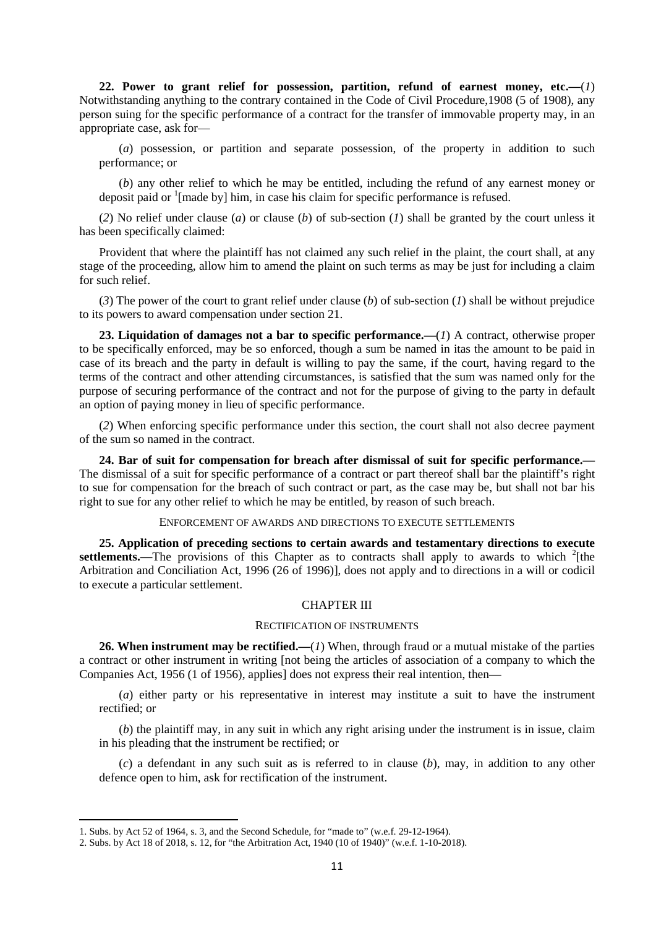**22. Power to grant relief for possession, partition, refund of earnest money, etc.—**(*1*) Notwithstanding anything to the contrary contained in the Code of Civil Procedure,1908 (5 of 1908), any person suing for the specific performance of a contract for the transfer of immovable property may, in an appropriate case, ask for—

(*a*) possession, or partition and separate possession, of the property in addition to such performance; or

(*b*) any other relief to which he may be entitled, including the refund of any earnest money or deposit paid or  $\frac{1}{2}$  [made by] him, in case his claim for specific performance is refused.

(*2*) No relief under clause (*a*) or clause (*b*) of sub-section (*1*) shall be granted by the court unless it has been specifically claimed:

Provident that where the plaintiff has not claimed any such relief in the plaint, the court shall, at any stage of the proceeding, allow him to amend the plaint on such terms as may be just for including a claim for such relief.

(*3*) The power of the court to grant relief under clause (*b*) of sub-section (*1*) shall be without prejudice to its powers to award compensation under section 21.

**23. Liquidation of damages not a bar to specific performance.—**(*1*) A contract, otherwise proper to be specifically enforced, may be so enforced, though a sum be named in itas the amount to be paid in case of its breach and the party in default is willing to pay the same, if the court, having regard to the terms of the contract and other attending circumstances, is satisfied that the sum was named only for the purpose of securing performance of the contract and not for the purpose of giving to the party in default an option of paying money in lieu of specific performance.

(*2*) When enforcing specific performance under this section, the court shall not also decree payment of the sum so named in the contract.

**24. Bar of suit for compensation for breach after dismissal of suit for specific performance.—** The dismissal of a suit for specific performance of a contract or part thereof shall bar the plaintiff's right to sue for compensation for the breach of such contract or part, as the case may be, but shall not bar his right to sue for any other relief to which he may be entitled, by reason of such breach.

### ENFORCEMENT OF AWARDS AND DIRECTIONS TO EXECUTE SETTLEMENTS

**25. Application of preceding sections to certain awards and testamentary directions to execute**  settlements.—The provisions of this Chapter as to contracts shall apply to awards to which <sup>2</sup>[the Arbitration and Conciliation Act, 1996 (26 of 1996)], does not apply and to directions in a will or codicil to execute a particular settlement.

#### CHAPTER III

### RECTIFICATION OF INSTRUMENTS

**26. When instrument may be rectified.—**(*1*) When, through fraud or a mutual mistake of the parties a contract or other instrument in writing [not being the articles of association of a company to which the Companies Act, 1956 (1 of 1956), applies] does not express their real intention, then—

(*a*) either party or his representative in interest may institute a suit to have the instrument rectified; or

(*b*) the plaintiff may, in any suit in which any right arising under the instrument is in issue, claim in his pleading that the instrument be rectified; or

(*c*) a defendant in any such suit as is referred to in clause (*b*), may, in addition to any other defence open to him, ask for rectification of the instrument.

<sup>1.</sup> Subs. by Act 52 of 1964, s. 3, and the Second Schedule, for "made to" (w.e.f. 29-12-1964).

<sup>2.</sup> Subs. by Act 18 of 2018, s. 12, for "the Arbitration Act, 1940 (10 of 1940)" (w.e.f. 1-10-2018).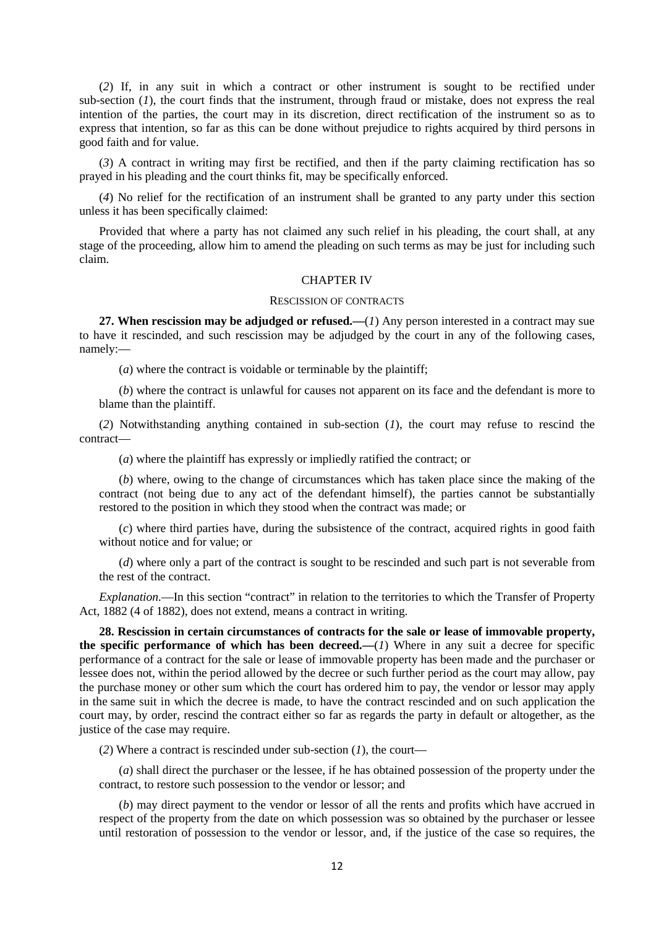(*2*) If, in any suit in which a contract or other instrument is sought to be rectified under sub-section (*1*), the court finds that the instrument, through fraud or mistake, does not express the real intention of the parties, the court may in its discretion, direct rectification of the instrument so as to express that intention, so far as this can be done without prejudice to rights acquired by third persons in good faith and for value.

(*3*) A contract in writing may first be rectified, and then if the party claiming rectification has so prayed in his pleading and the court thinks fit, may be specifically enforced.

(*4*) No relief for the rectification of an instrument shall be granted to any party under this section unless it has been specifically claimed:

Provided that where a party has not claimed any such relief in his pleading, the court shall, at any stage of the proceeding, allow him to amend the pleading on such terms as may be just for including such claim.

### CHAPTER IV

#### RESCISSION OF CONTRACTS

**27. When rescission may be adjudged or refused.—**(*1*) Any person interested in a contract may sue to have it rescinded, and such rescission may be adjudged by the court in any of the following cases, namely:—

(*a*) where the contract is voidable or terminable by the plaintiff;

(*b*) where the contract is unlawful for causes not apparent on its face and the defendant is more to blame than the plaintiff.

(*2*) Notwithstanding anything contained in sub-section (*1*), the court may refuse to rescind the contract—

(*a*) where the plaintiff has expressly or impliedly ratified the contract; or

(*b*) where, owing to the change of circumstances which has taken place since the making of the contract (not being due to any act of the defendant himself), the parties cannot be substantially restored to the position in which they stood when the contract was made; or

(*c*) where third parties have, during the subsistence of the contract, acquired rights in good faith without notice and for value; or

(*d*) where only a part of the contract is sought to be rescinded and such part is not severable from the rest of the contract.

*Explanation.*—In this section "contract" in relation to the territories to which the Transfer of Property Act, 1882 (4 of 1882), does not extend, means a contract in writing.

**28. Rescission in certain circumstances of contracts for the sale or lease of immovable property, the specific performance of which has been decreed.—**(*1*) Where in any suit a decree for specific performance of a contract for the sale or lease of immovable property has been made and the purchaser or lessee does not, within the period allowed by the decree or such further period as the court may allow, pay the purchase money or other sum which the court has ordered him to pay, the vendor or lessor may apply in the same suit in which the decree is made, to have the contract rescinded and on such application the court may, by order, rescind the contract either so far as regards the party in default or altogether, as the justice of the case may require.

(*2*) Where a contract is rescinded under sub-section (*1*), the court—

(*a*) shall direct the purchaser or the lessee, if he has obtained possession of the property under the contract, to restore such possession to the vendor or lessor; and

(*b*) may direct payment to the vendor or lessor of all the rents and profits which have accrued in respect of the property from the date on which possession was so obtained by the purchaser or lessee until restoration of possession to the vendor or lessor, and, if the justice of the case so requires, the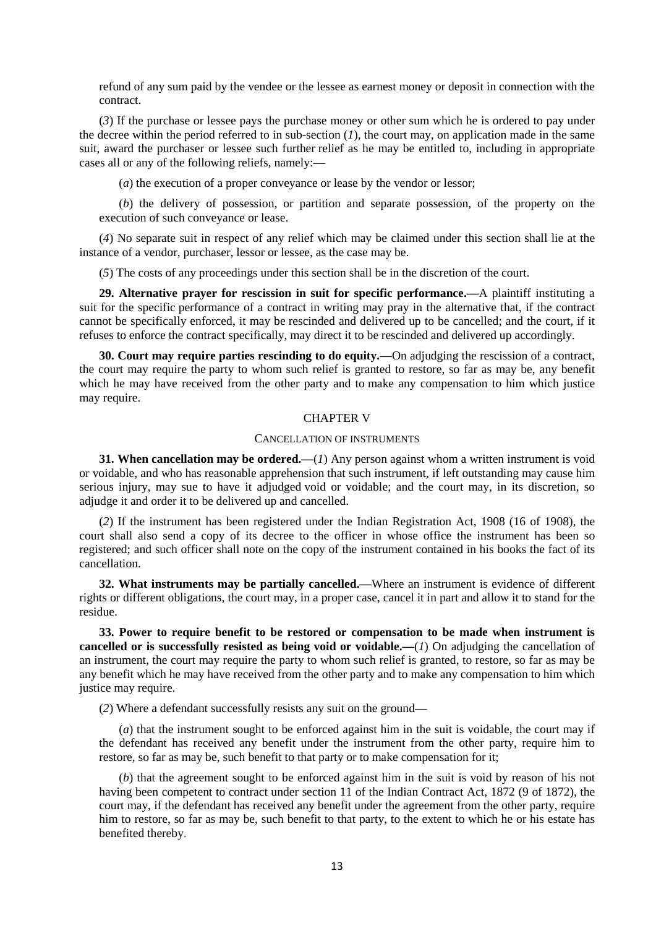refund of any sum paid by the vendee or the lessee as earnest money or deposit in connection with the contract.

(*3*) If the purchase or lessee pays the purchase money or other sum which he is ordered to pay under the decree within the period referred to in sub-section  $(I)$ , the court may, on application made in the same suit, award the purchaser or lessee such further relief as he may be entitled to, including in appropriate cases all or any of the following reliefs, namely:—

(*a*) the execution of a proper conveyance or lease by the vendor or lessor;

(*b*) the delivery of possession, or partition and separate possession, of the property on the execution of such conveyance or lease.

(*4*) No separate suit in respect of any relief which may be claimed under this section shall lie at the instance of a vendor, purchaser, lessor or lessee, as the case may be.

(*5*) The costs of any proceedings under this section shall be in the discretion of the court.

**29. Alternative prayer for rescission in suit for specific performance.—**A plaintiff instituting a suit for the specific performance of a contract in writing may pray in the alternative that, if the contract cannot be specifically enforced, it may be rescinded and delivered up to be cancelled; and the court, if it refuses to enforce the contract specifically, may direct it to be rescinded and delivered up accordingly.

**30. Court may require parties rescinding to do equity.—**On adjudging the rescission of a contract, the court may require the party to whom such relief is granted to restore, so far as may be, any benefit which he may have received from the other party and to make any compensation to him which justice may require.

### CHAPTER V

#### CANCELLATION OF INSTRUMENTS

**31. When cancellation may be ordered.**—(*1*) Any person against whom a written instrument is void or voidable, and who has reasonable apprehension that such instrument, if left outstanding may cause him serious injury, may sue to have it adjudged void or voidable; and the court may, in its discretion, so adjudge it and order it to be delivered up and cancelled.

(*2*) If the instrument has been registered under the Indian Registration Act, 1908 (16 of 1908), the court shall also send a copy of its decree to the officer in whose office the instrument has been so registered; and such officer shall note on the copy of the instrument contained in his books the fact of its cancellation.

**32. What instruments may be partially cancelled.—**Where an instrument is evidence of different rights or different obligations, the court may, in a proper case, cancel it in part and allow it to stand for the residue.

**33. Power to require benefit to be restored or compensation to be made when instrument is cancelled or is successfully resisted as being void or voidable.—**(*1*) On adjudging the cancellation of an instrument, the court may require the party to whom such relief is granted, to restore, so far as may be any benefit which he may have received from the other party and to make any compensation to him which justice may require.

(*2*) Where a defendant successfully resists any suit on the ground—

(*a*) that the instrument sought to be enforced against him in the suit is voidable, the court may if the defendant has received any benefit under the instrument from the other party, require him to restore, so far as may be, such benefit to that party or to make compensation for it;

(*b*) that the agreement sought to be enforced against him in the suit is void by reason of his not having been competent to contract under section 11 of the Indian Contract Act, 1872 (9 of 1872), the court may, if the defendant has received any benefit under the agreement from the other party, require him to restore, so far as may be, such benefit to that party, to the extent to which he or his estate has benefited thereby.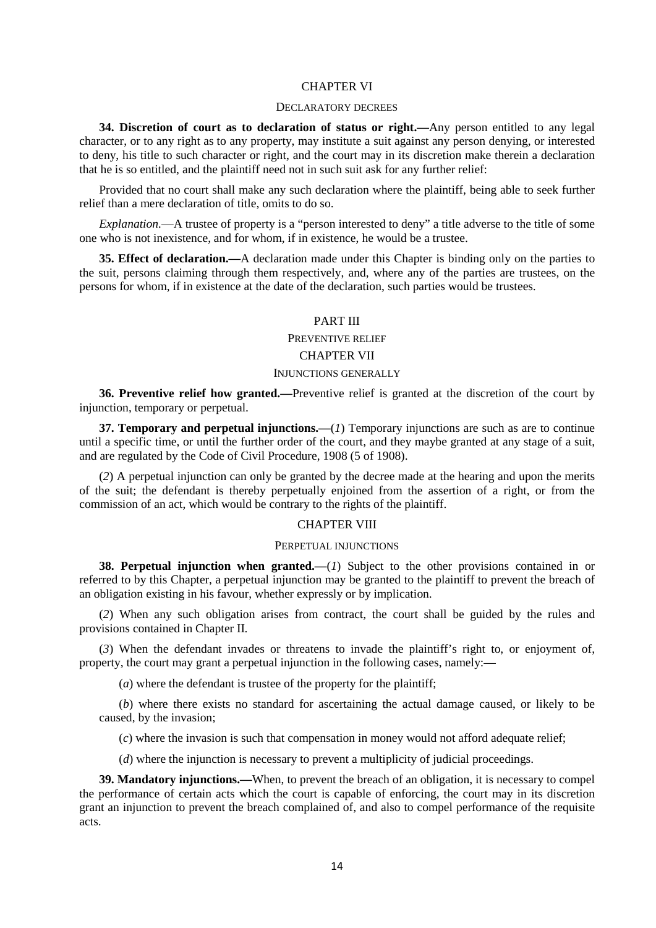#### CHAPTER VI

### DECLARATORY DECREES

**34. Discretion of court as to declaration of status or right.—**Any person entitled to any legal character, or to any right as to any property, may institute a suit against any person denying, or interested to deny, his title to such character or right, and the court may in its discretion make therein a declaration that he is so entitled, and the plaintiff need not in such suit ask for any further relief:

Provided that no court shall make any such declaration where the plaintiff, being able to seek further relief than a mere declaration of title, omits to do so.

*Explanation.*—A trustee of property is a "person interested to deny" a title adverse to the title of some one who is not inexistence, and for whom, if in existence, he would be a trustee.

**35. Effect of declaration.—**A declaration made under this Chapter is binding only on the parties to the suit, persons claiming through them respectively, and, where any of the parties are trustees, on the persons for whom, if in existence at the date of the declaration, such parties would be trustees.

### PART III

#### PREVENTIVE RELIEF

### CHAPTER VII

### INJUNCTIONS GENERALLY

**36. Preventive relief how granted.—**Preventive relief is granted at the discretion of the court by injunction, temporary or perpetual.

**37. Temporary and perpetual injunctions.—**(*1*) Temporary injunctions are such as are to continue until a specific time, or until the further order of the court, and they maybe granted at any stage of a suit, and are regulated by the Code of Civil Procedure, 1908 (5 of 1908).

(*2*) A perpetual injunction can only be granted by the decree made at the hearing and upon the merits of the suit; the defendant is thereby perpetually enjoined from the assertion of a right, or from the commission of an act, which would be contrary to the rights of the plaintiff.

### CHAPTER VIII

### PERPETUAL INJUNCTIONS

**38. Perpetual injunction when granted.**—(*1*) Subject to the other provisions contained in or referred to by this Chapter, a perpetual injunction may be granted to the plaintiff to prevent the breach of an obligation existing in his favour, whether expressly or by implication.

(*2*) When any such obligation arises from contract, the court shall be guided by the rules and provisions contained in Chapter II.

(*3*) When the defendant invades or threatens to invade the plaintiff's right to, or enjoyment of, property, the court may grant a perpetual injunction in the following cases, namely:—

(*a*) where the defendant is trustee of the property for the plaintiff;

(*b*) where there exists no standard for ascertaining the actual damage caused, or likely to be caused, by the invasion;

(*c*) where the invasion is such that compensation in money would not afford adequate relief;

(*d*) where the injunction is necessary to prevent a multiplicity of judicial proceedings.

**39. Mandatory injunctions.—**When, to prevent the breach of an obligation, it is necessary to compel the performance of certain acts which the court is capable of enforcing, the court may in its discretion grant an injunction to prevent the breach complained of, and also to compel performance of the requisite acts.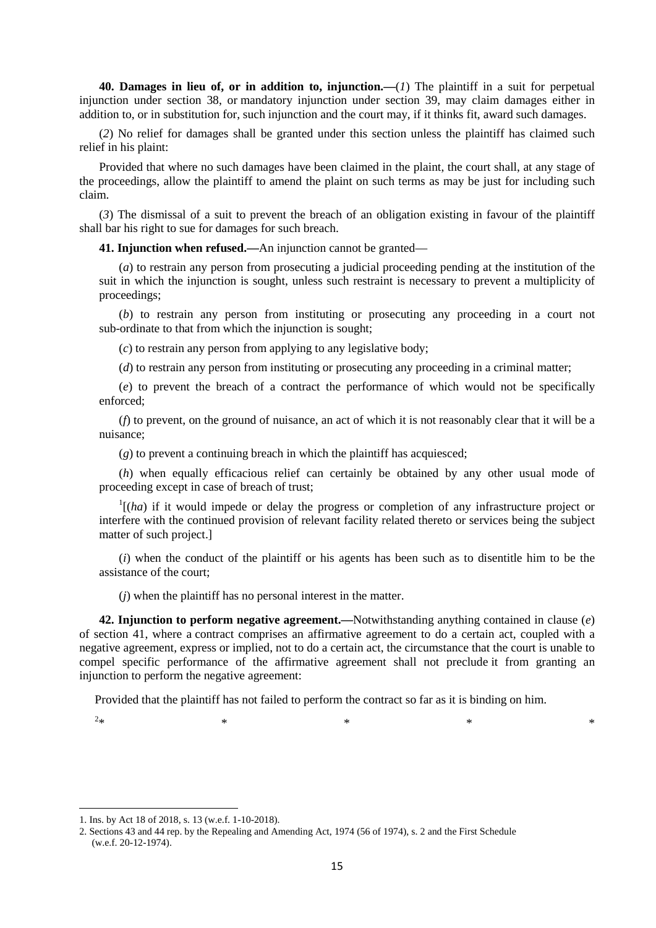**40. Damages in lieu of, or in addition to, injunction.—**(*1*) The plaintiff in a suit for perpetual injunction under section 38, or mandatory injunction under section 39, may claim damages either in addition to, or in substitution for, such injunction and the court may, if it thinks fit, award such damages.

(*2*) No relief for damages shall be granted under this section unless the plaintiff has claimed such relief in his plaint:

Provided that where no such damages have been claimed in the plaint, the court shall, at any stage of the proceedings, allow the plaintiff to amend the plaint on such terms as may be just for including such claim.

(*3*) The dismissal of a suit to prevent the breach of an obligation existing in favour of the plaintiff shall bar his right to sue for damages for such breach.

**41. Injunction when refused.—**An injunction cannot be granted—

(*a*) to restrain any person from prosecuting a judicial proceeding pending at the institution of the suit in which the injunction is sought, unless such restraint is necessary to prevent a multiplicity of proceedings;

(*b*) to restrain any person from instituting or prosecuting any proceeding in a court not sub-ordinate to that from which the injunction is sought;

(*c*) to restrain any person from applying to any legislative body;

(*d*) to restrain any person from instituting or prosecuting any proceeding in a criminal matter;

(*e*) to prevent the breach of a contract the performance of which would not be specifically enforced;

(*f*) to prevent, on the ground of nuisance, an act of which it is not reasonably clear that it will be a nuisance;

(*g*) to prevent a continuing breach in which the plaintiff has acquiesced;

(*h*) when equally efficacious relief can certainly be obtained by any other usual mode of proceeding except in case of breach of trust;

 $\int$ <sup>1</sup>[(*ha*) if it would impede or delay the progress or completion of any infrastructure project or interfere with the continued provision of relevant facility related thereto or services being the subject matter of such project.]

(*i*) when the conduct of the plaintiff or his agents has been such as to disentitle him to be the assistance of the court;

(*j*) when the plaintiff has no personal interest in the matter.

**42. Injunction to perform negative agreement.—**Notwithstanding anything contained in clause (*e*) of section 41, where a contract comprises an affirmative agreement to do a certain act, coupled with a negative agreement, express or implied, not to do a certain act, the circumstance that the court is unable to compel specific performance of the affirmative agreement shall not preclude it from granting an injunction to perform the negative agreement:

Provided that the plaintiff has not failed to perform the contract so far as it is binding on him.

 $2*$  $*$   $*$   $*$   $*$   $*$   $*$   $*$ 

<sup>1.</sup> Ins. by Act 18 of 2018, s. 13 (w.e.f. 1-10-2018).

<sup>2.</sup> Sections 43 and 44 rep. by the Repealing and Amending Act, 1974 (56 of 1974), s. 2 and the First Schedule (w.e.f. 20-12-1974).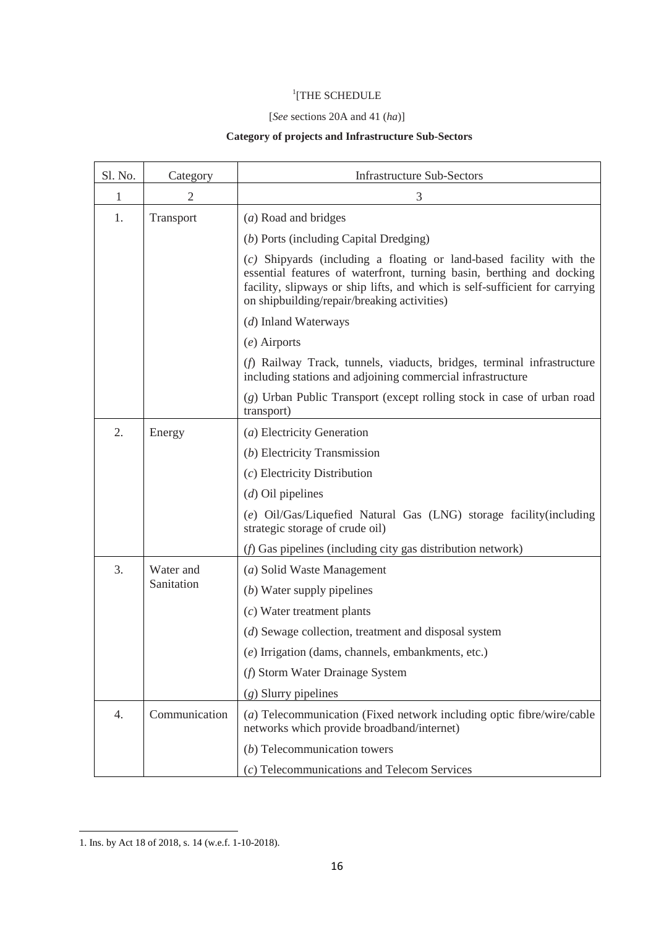### 1 [THE SCHEDULE

## [*See* sections 20A and 41 (*ha*)]

# **Category of projects and Infrastructure Sub-Sectors**

| Sl. No. | Category                | <b>Infrastructure Sub-Sectors</b>                                                                                                                                                                                                                                          |
|---------|-------------------------|----------------------------------------------------------------------------------------------------------------------------------------------------------------------------------------------------------------------------------------------------------------------------|
| 1       | $\overline{2}$          | 3                                                                                                                                                                                                                                                                          |
| 1.      | Transport               | (a) Road and bridges                                                                                                                                                                                                                                                       |
|         |                         | (b) Ports (including Capital Dredging)                                                                                                                                                                                                                                     |
|         |                         | (c) Shipyards (including a floating or land-based facility with the<br>essential features of waterfront, turning basin, berthing and docking<br>facility, slipways or ship lifts, and which is self-sufficient for carrying<br>on shipbuilding/repair/breaking activities) |
|         |                         | (d) Inland Waterways                                                                                                                                                                                                                                                       |
|         |                         | $(e)$ Airports                                                                                                                                                                                                                                                             |
|         |                         | (f) Railway Track, tunnels, viaducts, bridges, terminal infrastructure<br>including stations and adjoining commercial infrastructure                                                                                                                                       |
|         |                         | (g) Urban Public Transport (except rolling stock in case of urban road<br>transport)                                                                                                                                                                                       |
| 2.      | Energy                  | (a) Electricity Generation                                                                                                                                                                                                                                                 |
|         |                         | (b) Electricity Transmission                                                                                                                                                                                                                                               |
|         |                         | $(c)$ Electricity Distribution                                                                                                                                                                                                                                             |
|         |                         | $(d)$ Oil pipelines                                                                                                                                                                                                                                                        |
|         |                         | (e) Oil/Gas/Liquefied Natural Gas (LNG) storage facility(including<br>strategic storage of crude oil)                                                                                                                                                                      |
|         |                         | (f) Gas pipelines (including city gas distribution network)                                                                                                                                                                                                                |
| 3.      | Water and<br>Sanitation | (a) Solid Waste Management                                                                                                                                                                                                                                                 |
|         |                         | $(b)$ Water supply pipelines                                                                                                                                                                                                                                               |
|         |                         | $(c)$ Water treatment plants                                                                                                                                                                                                                                               |
|         |                         | (d) Sewage collection, treatment and disposal system                                                                                                                                                                                                                       |
|         |                         | (e) Irrigation (dams, channels, embankments, etc.)                                                                                                                                                                                                                         |
|         |                         | (f) Storm Water Drainage System                                                                                                                                                                                                                                            |
|         |                         | $(g)$ Slurry pipelines                                                                                                                                                                                                                                                     |
| 4.      | Communication           | (a) Telecommunication (Fixed network including optic fibre/wire/cable<br>networks which provide broadband/internet)                                                                                                                                                        |
|         |                         | $(b)$ Telecommunication towers                                                                                                                                                                                                                                             |
|         |                         | (c) Telecommunications and Telecom Services                                                                                                                                                                                                                                |

<sup>1.</sup> Ins. by Act 18 of 2018, s. 14 (w.e.f. 1-10-2018).